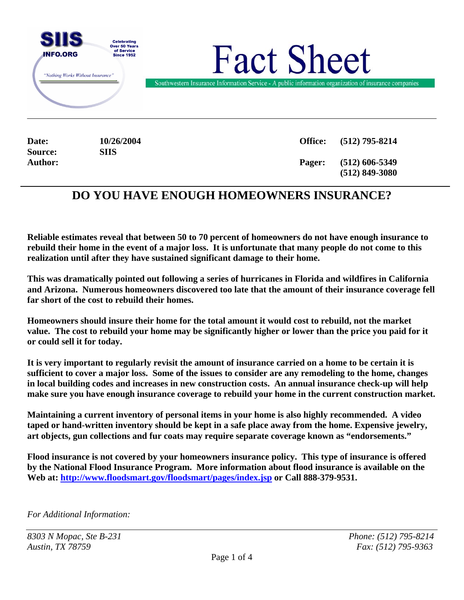

**Source: SIIS**

**Date: 10/26/2004 Office: (512) 795-8214 Author: Pager: (512) 606-5349 (512) 849-3080** 

# **DO YOU HAVE ENOUGH HOMEOWNERS INSURANCE?**

**Reliable estimates reveal that between 50 to 70 percent of homeowners do not have enough insurance to rebuild their home in the event of a major loss. It is unfortunate that many people do not come to this realization until after they have sustained significant damage to their home.** 

**This was dramatically pointed out following a series of hurricanes in Florida and wildfires in California and Arizona. Numerous homeowners discovered too late that the amount of their insurance coverage fell far short of the cost to rebuild their homes.** 

**Homeowners should insure their home for the total amount it would cost to rebuild, not the market value. The cost to rebuild your home may be significantly higher or lower than the price you paid for it or could sell it for today.** 

**It is very important to regularly revisit the amount of insurance carried on a home to be certain it is sufficient to cover a major loss. Some of the issues to consider are any remodeling to the home, changes in local building codes and increases in new construction costs. An annual insurance check-up will help make sure you have enough insurance coverage to rebuild your home in the current construction market.** 

**Maintaining a current inventory of personal items in your home is also highly recommended. A video taped or hand-written inventory should be kept in a safe place away from the home. Expensive jewelry, art objects, gun collections and fur coats may require separate coverage known as "endorsements."** 

**Flood insurance is not covered by your homeowners insurance policy. This type of insurance is offered by the National Flood Insurance Program. More information about flood insurance is available on the Web at:<http://www.floodsmart.gov/floodsmart/pages/index.jsp>or Call 888-379-9531.** 

*For Additional Information:* 

*8303 N Mopac, Ste B-231 Phone: (512) 795-8214 Austin, TX 78759 Fax: (512) 795-9363*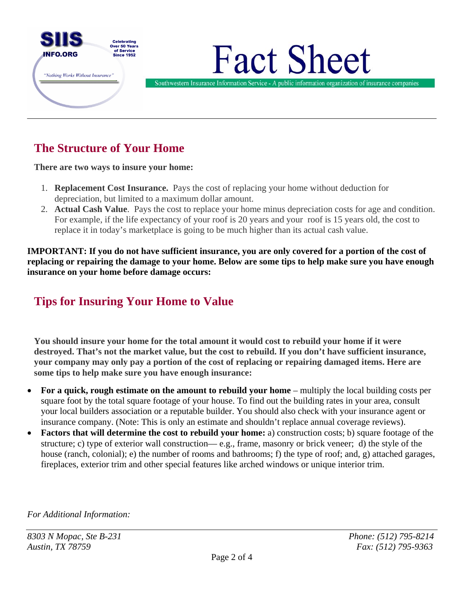

# **The Structure of Your Home**

**There are two ways to insure your home:**

- 1. **Replacement Cost Insurance.** Pays the cost of replacing your home without deduction for depreciation, but limited to a maximum dollar amount.
- 2. **Actual Cash Value**. Pays the cost to replace your home minus depreciation costs for age and condition. For example, if the life expectancy of your roof is 20 years and your roof is 15 years old, the cost to replace it in today's marketplace is going to be much higher than its actual cash value.

**IMPORTANT: If you do not have sufficient insurance, you are only covered for a portion of the cost of replacing or repairing the damage to your home. Below are some tips to help make sure you have enough insurance on your home before damage occurs:** 

# **Tips for Insuring Your Home to Value**

**You should insure your home for the total amount it would cost to rebuild your home if it were destroyed. That's not the market value, but the cost to rebuild. If you don't have sufficient insurance, your company may only pay a portion of the cost of replacing or repairing damaged items. Here are some tips to help make sure you have enough insurance:** 

- **For a quick, rough estimate on the amount to rebuild your home**  multiply the local building costs per square foot by the total square footage of your house. To find out the building rates in your area, consult your local builders association or a reputable builder. You should also check with your insurance agent or insurance company. (Note: This is only an estimate and shouldn't replace annual coverage reviews).
- **Factors that will determine the cost to rebuild your home:** a) construction costs; b) square footage of the structure; c) type of exterior wall construction— e.g., frame, masonry or brick veneer; d) the style of the house (ranch, colonial); e) the number of rooms and bathrooms; f) the type of roof; and, g) attached garages, fireplaces, exterior trim and other special features like arched windows or unique interior trim.

*For Additional Information:*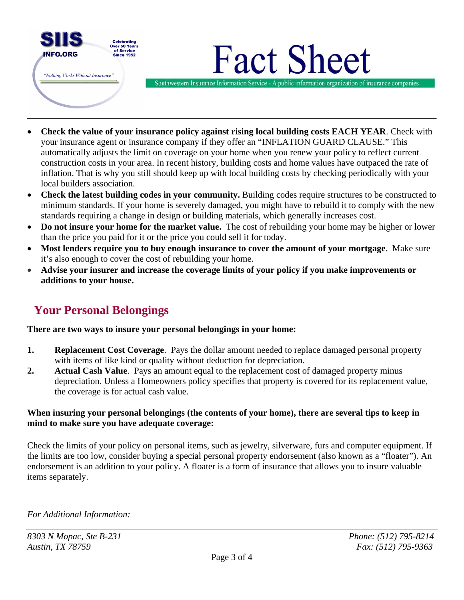

- **Check the value of your insurance policy against rising local building costs EACH YEAR**. Check with your insurance agent or insurance company if they offer an "INFLATION GUARD CLAUSE." This automatically adjusts the limit on coverage on your home when you renew your policy to reflect current construction costs in your area. In recent history, building costs and home values have outpaced the rate of inflation. That is why you still should keep up with local building costs by checking periodically with your local builders association.
- **Check the latest building codes in your community.** Building codes require structures to be constructed to minimum standards. If your home is severely damaged, you might have to rebuild it to comply with the new standards requiring a change in design or building materials, which generally increases cost.
- **Do not insure your home for the market value.** The cost of rebuilding your home may be higher or lower than the price you paid for it or the price you could sell it for today.
- **Most lenders require you to buy enough insurance to cover the amount of your mortgage**. Make sure it's also enough to cover the cost of rebuilding your home.
- **Advise your insurer and increase the coverage limits of your policy if you make improvements or additions to your house.**

# **Your Personal Belongings**

#### **There are two ways to insure your personal belongings in your home:**

- **1. Replacement Cost Coverage**. Pays the dollar amount needed to replace damaged personal property with items of like kind or quality without deduction for depreciation.
- **2. Actual Cash Value**. Pays an amount equal to the replacement cost of damaged property minus depreciation. Unless a Homeowners policy specifies that property is covered for its replacement value, the coverage is for actual cash value.

#### **When insuring your personal belongings (the contents of your home), there are several tips to keep in mind to make sure you have adequate coverage:**

Check the limits of your policy on personal items, such as jewelry, silverware, furs and computer equipment. If the limits are too low, consider buying a special personal property endorsement (also known as a "floater"). An endorsement is an addition to your policy. A floater is a form of insurance that allows you to insure valuable items separately.

*For Additional Information:*